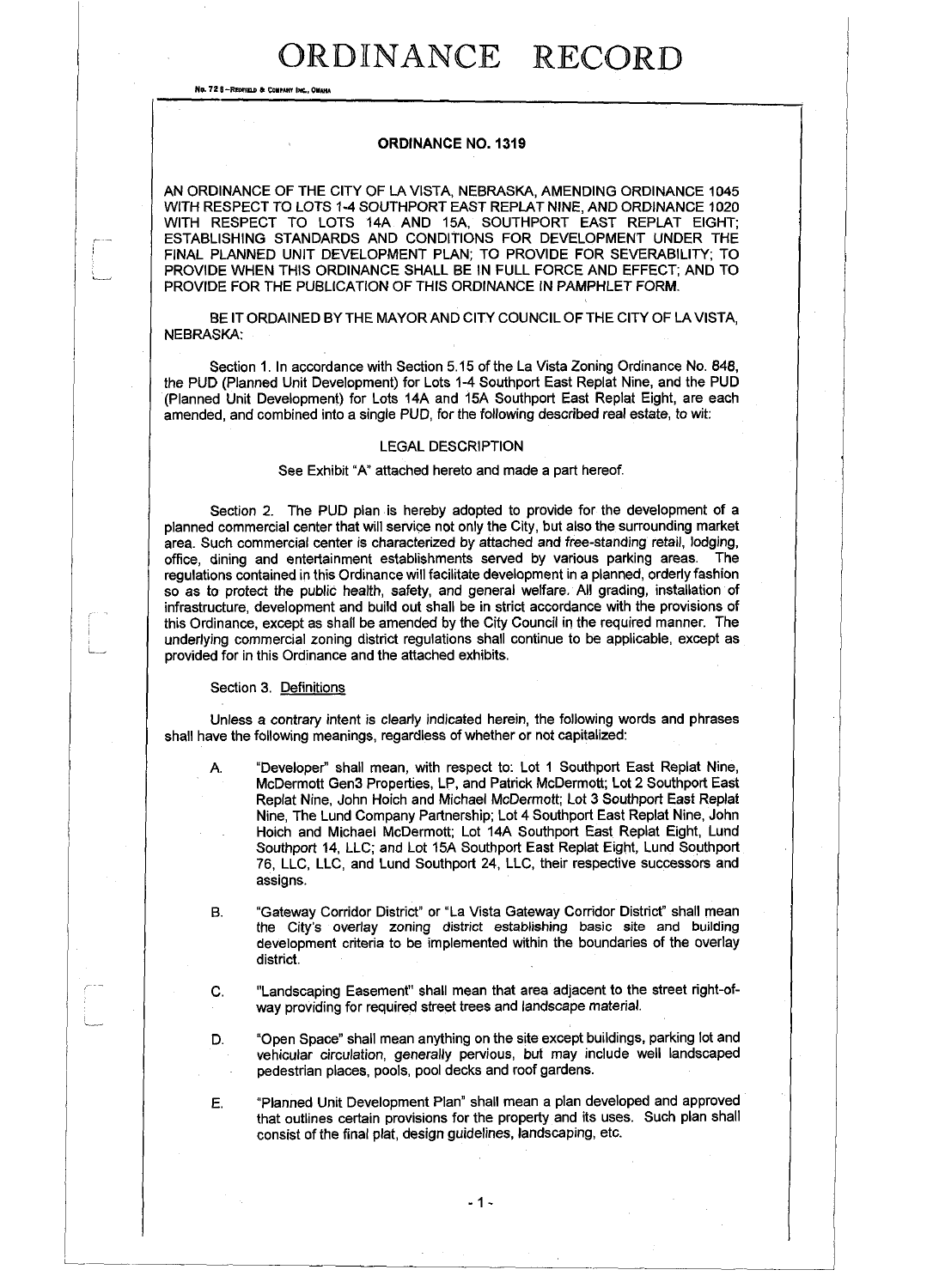No. 72 8-Redfield & Company Inc., Onaha

### **ORDINANCE NO. 1319**

AN ORDINANCE OF THE CITY OF LA VISTA, NEBRASKA, AMENDING ORDINANCE 1045 WITH RESPECT TO LOTS 1-4 SOUTHPORT EAST REPLAT NINE, AND ORDINANCE 1020 WITH RESPECT TO LOTS 14A AND 15A, SOUTHPORT EAST REPLAT EIGHT; ESTABLISHING STANDARDS AND CONDITIONS FOR DEVELOPMENT UNDER THE FINAL PLANNED UNIT DEVELOPMENT PLAN; TO PROVIDE FOR SEVERABILITY; TO PROVIDE WHEN THIS ORDINANCE SHALL BE IN FULL FORCE AND EFFECT; AND TO PROVIDE FOR THE PUBLICATION OF THIS ORDINANCE IN PAMPHLET FORM.

BE IT ORDAINED BY THE MAYOR AND CITY COUNCIL OF THE CITY OF LA VISTA, NEBRASKA:

Section 1. In accordance with Section 5.15 of the La Vista Zoning Ordinance No. 848, the PUD (Planned Unit Development) for Lots 1-4 Southport East Replat Nine, and the PUD (Planned Unit Development) for Lots 14A and 15A Southport East Replat Eight, are each amended, and combined into a single PUD, for the following described real estate, to wit:

### LEGAL DESCRIPTION

See Exhibit "A" attached hereto and made a part hereof.

Section 2. The PUD plan is hereby adopted to provide for the development of a planned commercial center that will service not only the City, but also the surrounding market area. Such commercial center is characterized by attached and free-standing retail, lodging, office, dining and entertainment establishments served by various parking areas. The regulations contained in this Ordinance will facilitate development in a planned, orderly fashion so as to protect the public health, safety, and general welfare. All grading, installation of infrastructure, development and build out shall be in strict accordance with the provisions of this Ordinance, except as shall be amended by the City Council in the required manner. The underlying commercial zoning district regulations shall continue to be applicable, except as provided for in this Ordinance and the attached exhibits.

#### Section 3. Definitions

L

Unless a contrary intent is clearly indicated herein, the following words and phrases shall have the following meanings, regardless of whether or not capitalized:

A. "Developer" shall mean, with respect to: Lot 1 Southport East Replat Nine, McDermott Gen3 Properties, LP, and Patrick McDermott; Lot 2 Southport East Replat Nine, John Hoich and Michael McDermott; Lot 3 Southport East Replat Nine, The Lund Company Partnership; Lot 4 Southport East Replat Nine, John Hoich and Michael McDermott; Lot 14A Southport East Replat Eight, Lund Southport 14, LLC; and Lot 15A Southport East Replat Eight, Lund Southport 76, LLC, LLC, and Lund Southport 24, LLC, their respective successors and assigns.

- B. "Gateway Corridor District" or "La Vista Gateway Corridor District" shall mean the City's overlay zoning district establishing basic site and building development criteria to be implemented within the boundaries of the overlay district.
- C. "Landscaping Easement" shall mean that area adjacent to the street right-ofway providing for required street trees and landscape material.
- D. "Open Space" shall mean anything on the site except buildings, parking lot and vehicular circulation, generally pervious, but may include well landscaped pedestrian places, pools, pool decks and roof gardens.

E. "Planned Unit Development Plan" shall mean a plan developed and approved that outlines certain provisions for the property and its uses. Such plan shall consist of the final plat, design guidelines, landscaping, etc.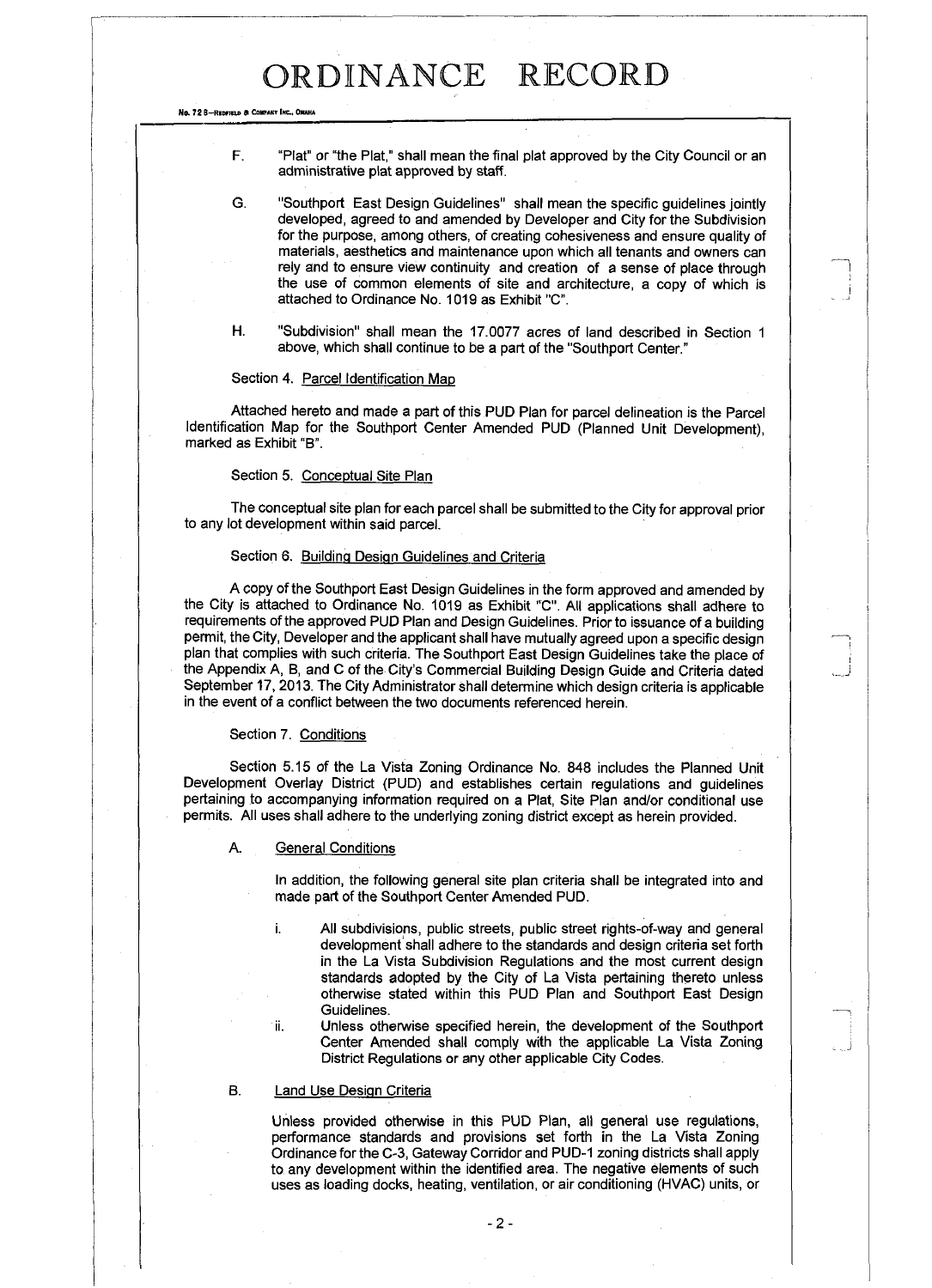No. 72 B-REDFIELD & COMPANY INC., OMAHA

- F. "Plat" or "the Plat," shall mean the final plat approved by the City Council or an administrative plat approved by staff.
- G. "Southport East Design Guidelines" shall mean the specific guidelines jointly developed, agreed to and amended by Developer and City for the Subdivision for the purpose, among others, of creating cohesiveness and ensure quality of materials, aesthetics and maintenance upon which all tenants and owners can rely and to ensure view continuity and creation of a sense of place through the use of common elements of site and architecture, a copy of which is attached to Ordinance No. 1019 as Exhibit "C".
- H. "Subdivision" shall mean the 17.0077 acres of land described in Section 1 above, which shall continue to be a part of the "Southport Center."

#### Section 4. Parcel Identification Map

Attached hereto and made a part of this PUD Plan for parcel delineation is the Parcel Identification Map for the Southport Center Amended PUD (Planned Unit Development), marked as Exhibit "B".

### Section 5. Conceptual Site Plan

The conceptual site plan for each parcel shall be submitted to the City for approval prior to any lot development within said parcel.

#### Section 6. Building Design Guidelines and Criteria

A copy of the Southport East Design Guidelines in the form approved and amended by the City is attached to Ordinance No. 1019 as Exhibit "C". All applications shall adhere to requirements of the approved PUD Plan and Design Guidelines. Prior to issuance of a building permit, the City, Developer and the applicant shall have mutually agreed upon a specific design plan that complies with such criteria. The Southport East Design Guidelines take the place of the Appendix A, B, and C of the City's Commercial Building Design Guide and Criteria dated September 17, 2013. The City Administrator shall determine which design criteria is applicable in the event of a conflict between the two documents referenced herein.

#### Section 7. Conditions

Section 5.15 of the La Vista Zoning Ordinance No. 848 includes the Planned Unit Development Overlay District (PUD) and establishes certain regulations and guidelines pertaining to accompanying information required on a Plat, Site Plan and/or conditional use permits. All uses shall adhere to the underlying zoning district except as herein provided.

#### A. General Conditions

In addition, the following general site plan criteria shall be integrated into and made part of the Southport Center Amended PUD.

i. All subdivisions, public streets, public street rights-of-way and general development'shall adhere to the standards and design criteria set forth in the La Vista Subdivision Regulations and the most current design standards adopted by the City of La Vista pertaining thereto unless otherwise stated within this PUD Plan and Southport East Design Guidelines.

ii. Unless otherwise specified herein, the development of the Southport Center Amended shall comply with the applicable La Vista Zoning District Regulations or any other applicable City Codes.

#### B. Land Use Design Criteria

Unless provided otherwise in this PUD Plan, all general use regulations, performance standards and provisions set forth in the La Vista Zoning Ordinance for the C-3, Gateway Corridor and PUD-1 zoning districts shall apply to any development within the identified area. The negative elements of such uses as loading docks, heating, ventilation, or air conditioning (HVAC) units, or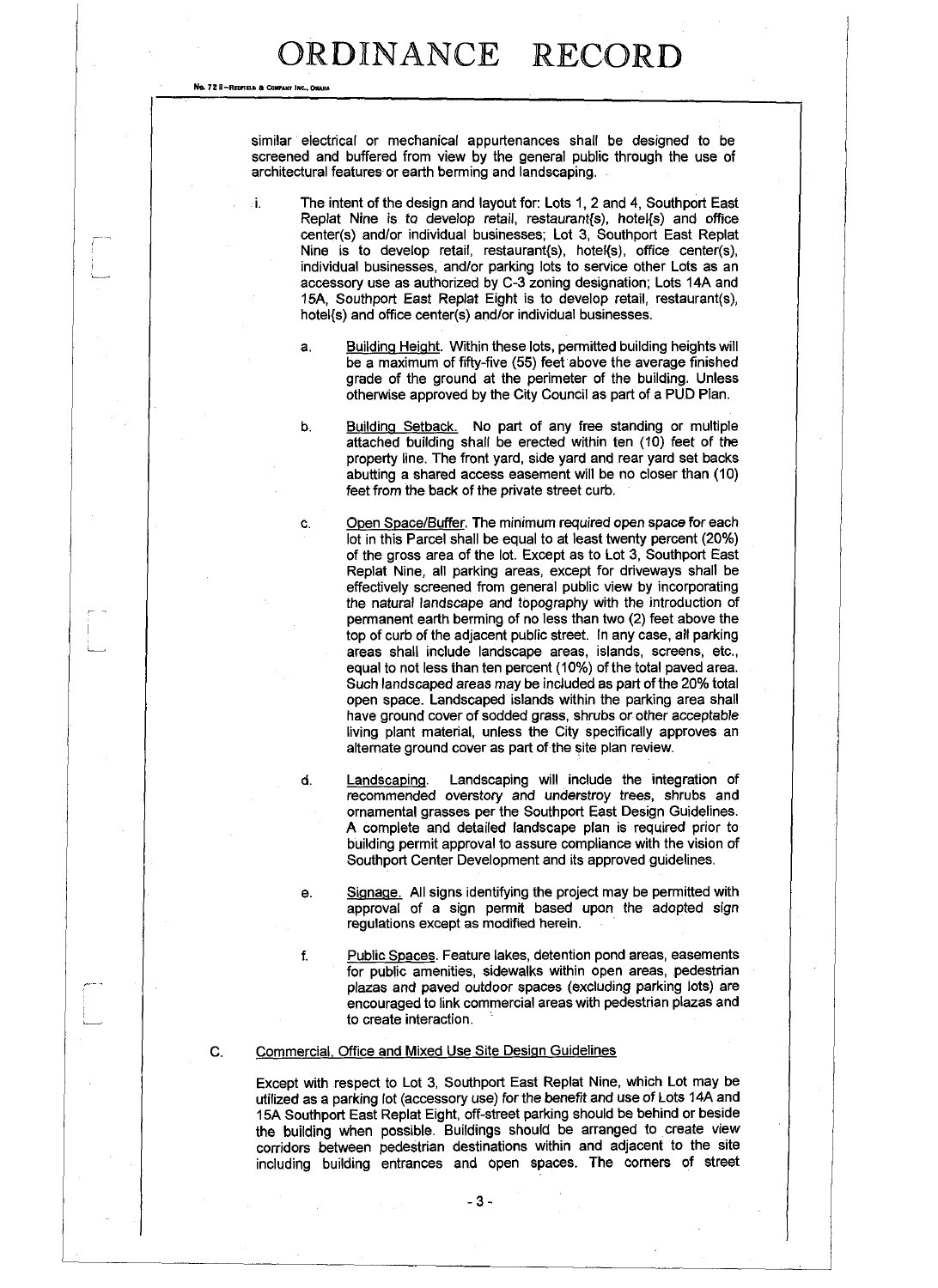No. 72 8-REDFIELD & COMPANY INC., OMAHA

similar electrical or mechanical appurtenances shall be designed to be screened and buffered from view by the general public through the use of architectural features or earth berming and landscaping.

i. The intent of the design and layout for: Lots 1, 2 and 4, Southport East Replat Nine is to develop retail, restaurant $(s)$ , hotel $\{s\}$  and office center(s) and/or individual businesses; Lot 3, Southport East Replat Nine is to develop retail, restaurant{s), hotel{s), office center(s), individual businesses, and/or parking lots to service other Lots as an accessory use as authorized by C-3 zoning designation; Lots 14A and 15A, Southport East Replat Eight is to develop retail, restaurant(s), hotel{s) and office center(s) and/or individual businesses.

- a. Building Height. Within these lots, permitted building heights will be a maximum of fifty-five (55) feet above the average finished grade of the ground at the perimeter of the building. Unless otherwise approved by the City Council as part of a PUD Plan.
- b. Building Setback. No part of any free standing or multiple attached building shall be erected within ten (10) feet of the property line. The front yard, side yard and rear yard set backs abutting a shared access easement will be no closer than (10) feet from the back of the private street curb.
- c. Open Space/Buffer. The minimum required open space for each lot in this Parcel shall be equal to at least twenty percent (20%) of the gross area of the lot. Except as to Lot 3, Southport East Replat Nine, all parking areas, except for driveways shall be effectively screened from general public view by incorporating the natural landscape and topography with the introduction of permanent earth berming of no less than two (2) feet above the top of curb of the adjacent public street. In any case, all parking areas shall include landscape areas, islands, screens, etc., equal to not less than ten percent (10%) of the total paved area. Such landscaped areas may be included as part of the 20% total open space. Landscaped islands within the parking area shall have ground cover of sodded grass, shrubs or other acceptable living plant material, unless the City specifically approves an alternate ground cover as part of the site plan review.
- d. Landscaping. Landscaping will include the integration of recommended overstory and understroy trees, shrubs and ornamental grasses per the Southport East Design Guidelines. A complete and detailed landscape plan is required prior to building permit approval to assure compliance with the vision of Southport Center Development and its approved guidelines.
- e. Signage. All signs identifying the project may be permitted with approval of a sign permit based upon the adopted sign regulations except as modified herein.
- f. Public Spaces. Feature lakes, detention pond areas, easements for public amenities, sidewalks within open areas, pedestrian plazas and paved outdoor spaces (excluding parking lots) are encouraged to link commercial areas with pedestrian plazas and to create interaction.

### C. Commercial. Office and Mixed Use Site Design Guidelines

Except with respect to Lot 3, Southport East Replat Nine, which Lot may be utilized as a parking lot (accessory use) for the benefit and use of Lots 14A and 15A Southport East Replat Eight, off-street parking should be behind or beside the building when possible. Buildings should be arranged to create view corridors between pedestrian destinations within and adjacent to the site including building entrances and open spaces. The corners of street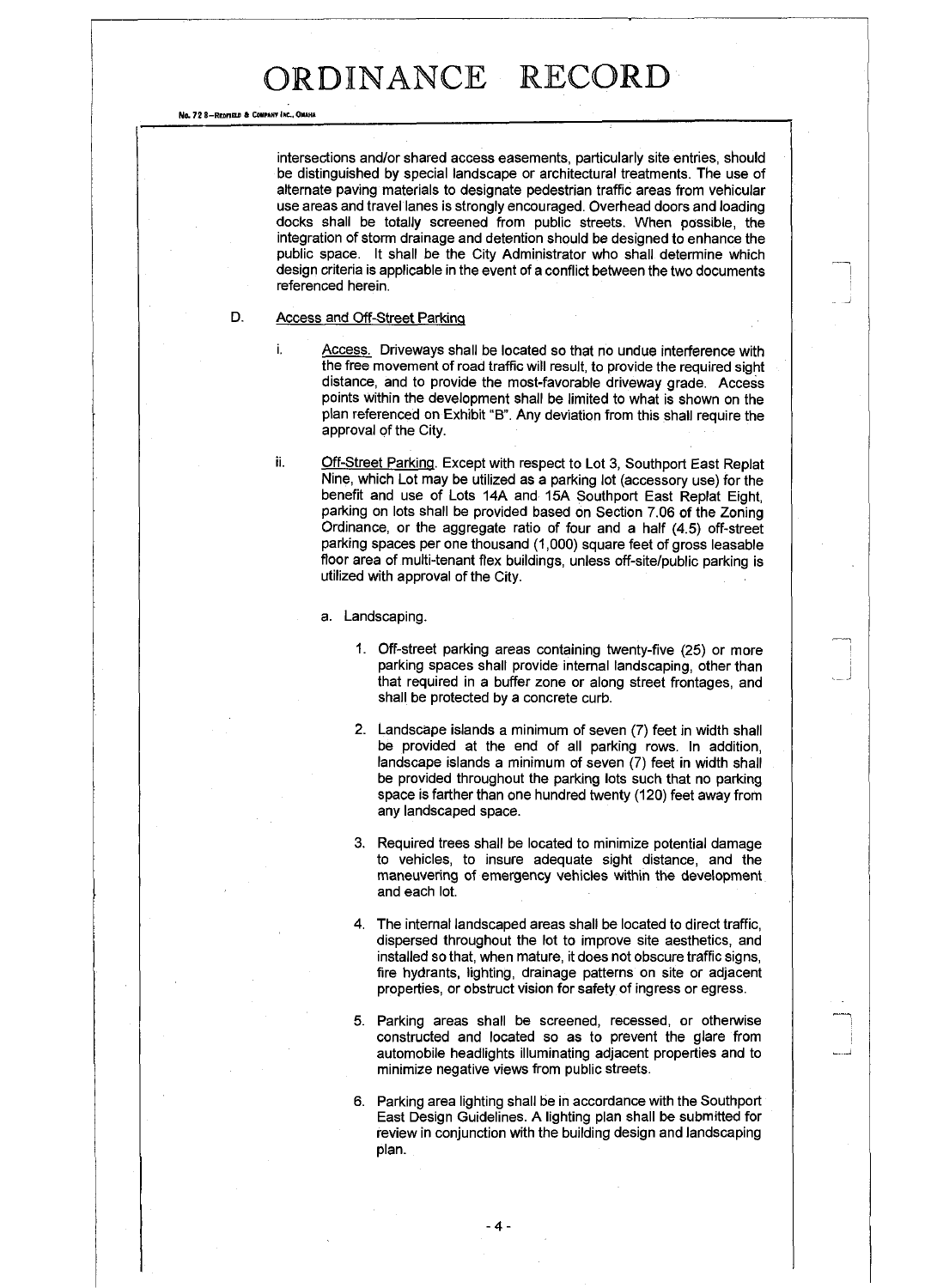No. 72 8-REDnne 6 **Con burr** INC., ONAHA

intersections and/or shared access easements, particularly site entries, should be distinguished by special landscape or architectural treatments. The use of alternate paving materials to designate pedestrian traffic areas from vehicular use areas and travel lanes is strongly encouraged. Overhead doors and loading docks shall be totally screened from public streets. When possible, the integration of storm drainage and detention should be designed to enhance the public space. It shall be the City Administrator who shall determine which design criteria is applicable in the event of a conflict between the two documents referenced herein.

#### D. Access and Off-Street Parking

i. Access. Driveways shall be located so that no undue interference with the free movement of road traffic will result, to provide the required sight distance, and to provide the most-favorable driveway grade. Access points within the development shall be limited to what is shown on the plan referenced on Exhibit "B". Any deviation from this shall require the approval of the City.

ii. Off-Street Parking. Except with respect to Lot 3, Southport East Replat Nine, which Lot may be utilized as a parking lot (accessory use) for the benefit and use of Lots 14A and 15A Southport East Replat Eight, parking on lots shall be provided based on Section 7.06 of the Zoning Ordinance, or the aggregate ratio of four and a half (4.5) off-street parking spaces per one thousand (1,000) square feet of gross leasable floor area of multi-tenant flex buildings, unless off-site/public parking is utilized with approval of the City.

a. Landscaping.

- 1. Off-street parking areas containing twenty-five (25) or more parking spaces shall provide internal landscaping, other than that required in a buffer zone or along street frontages, and shall be protected by a concrete curb.
- 2. Landscape islands a minimum of seven (7) feet in width shall be provided at the end of all parking rows. In addition, landscape islands a minimum of seven (7) feet in width shall be provided throughout the parking lots such that no parking space is farther than one hundred twenty (120) feet away from any landscaped space.
- 3. Required trees shall be located to minimize potential damage to vehicles, to insure adequate sight distance, and the maneuvering of emergency vehicles within the development and each lot.
- 4. The internal landscaped areas shall be located to direct traffic, dispersed throughout the lot to improve site aesthetics, and installed so that, when mature, it does not obscure traffic signs, fire hydrants, lighting, drainage patterns on site or adjacent properties, or obstruct vision for safety of ingress or egress.
- 5. Parking areas shall be screened, recessed, or otherwise constructed and located so as to prevent the glare from automobile headlights illuminating adjacent properties and to minimize negative views from public streets.
- 6. Parking area lighting shall be in accordance with the Southport East Design Guidelines. A lighting plan shall be submitted for review in conjunction with the building design and landscaping plan.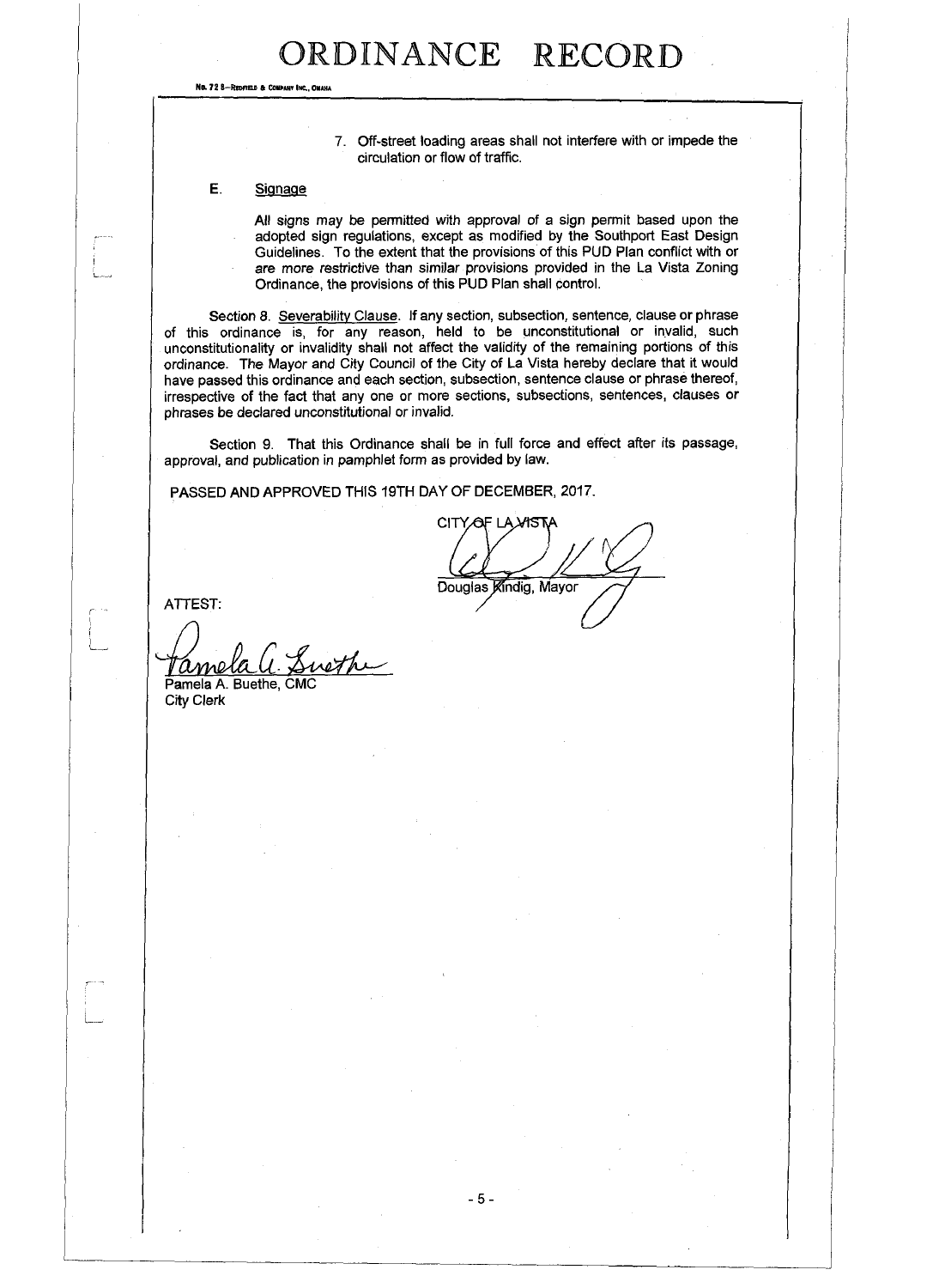No. 72 8-REDFIELD & COMPANY INC., OMAHA

7. Off-street loading areas shall not interfere with or impede the circulation or flow of traffic.

E. Signage

All signs may be permitted with approval of a sign permit based upon the adopted sign regulations, except as modified by the Southport East Design Guidelines. To the extent that the provisions of this PUD Plan conflict with or are more restrictive than similar provisions provided in the La Vista Zoning Ordinance, the provisions of this PUD Plan shall control.

Section 8. Severability Clause. If any section, subsection, sentence, clause or phrase of this ordinance is, for any reason, held to be unconstitutional or invalid, such unconstitutionality or invalidity shall not affect the validity of the remaining portions of this ordinance. The Mayor and City Council of the City of La Vista hereby declare that it would have passed this ordinance and each section, subsection, sentence clause or phrase thereof, irrespective of the fact that any one or more sections, subsections, sentences, clauses or phrases be declared unconstitutional or invalid.

Section 9. That this Ordinance shall be in full force and effect after its passage, approval, and publication in pamphlet form as provided by law.

PASSED AND APPROVED THIS 19TH DAY OF DECEMBER, 2017.

CITY OF LA VISTA Douglas Kindig, Mayor

ATTEST:

r

ame Pamela A. Buethe, CMC

City Clerk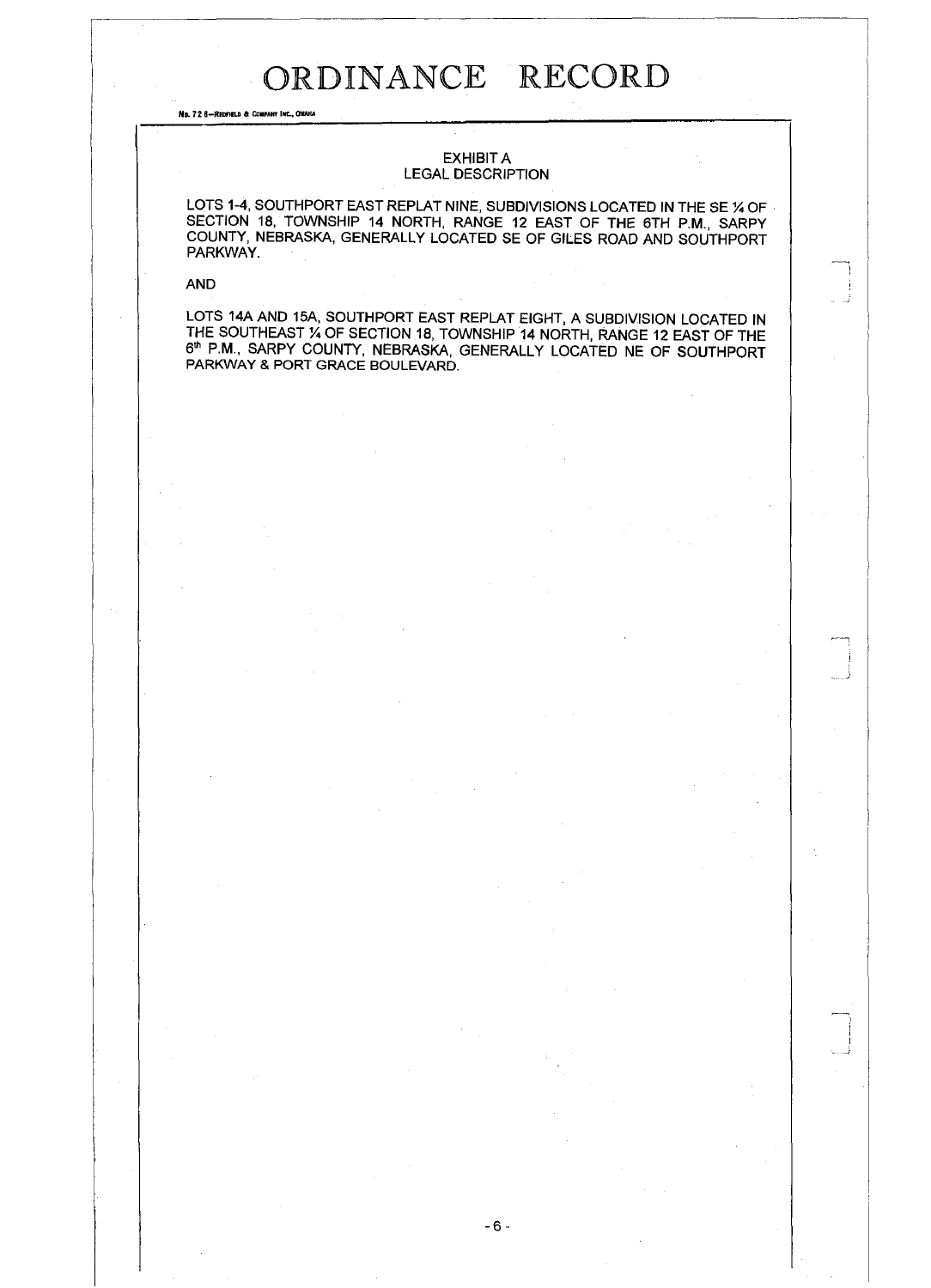No. 72 8-Reofield a Company Inc., Omaha

### EXHIBIT A LEGAL DESCRIPTION

LOTS 1-4, SOUTHPORT EAST REPLAT NINE, SUBDIVISIONS LOCATED IN THE SE 1/4 OF SECTION 18, TOWNSHIP 14 NORTH, RANGE 12 EAST OF THE 6TH P.M., SARPY COUNTY, NEBRASKA, GENERALLY LOCATED SE OF GILES ROAD AND SOUTHPORT PARKWAY.

AND

 $\mathcal{L}$ 

LOTS 14A AND 15A, SOUTHPORT EAST REPLAT EIGHT, A SUBDIVISION LOCATED IN THE SOUTHEAST % OF SECTION 18, TOWNSHIP 14 NORTH, RANGE 12 EAST OF THE 6th P.M., SARPY COUNTY, NEBRASKA, GENERALLY LOCATED NE OF SOUTHPORT PARKWAY & PORT GRACE BOULEVARD.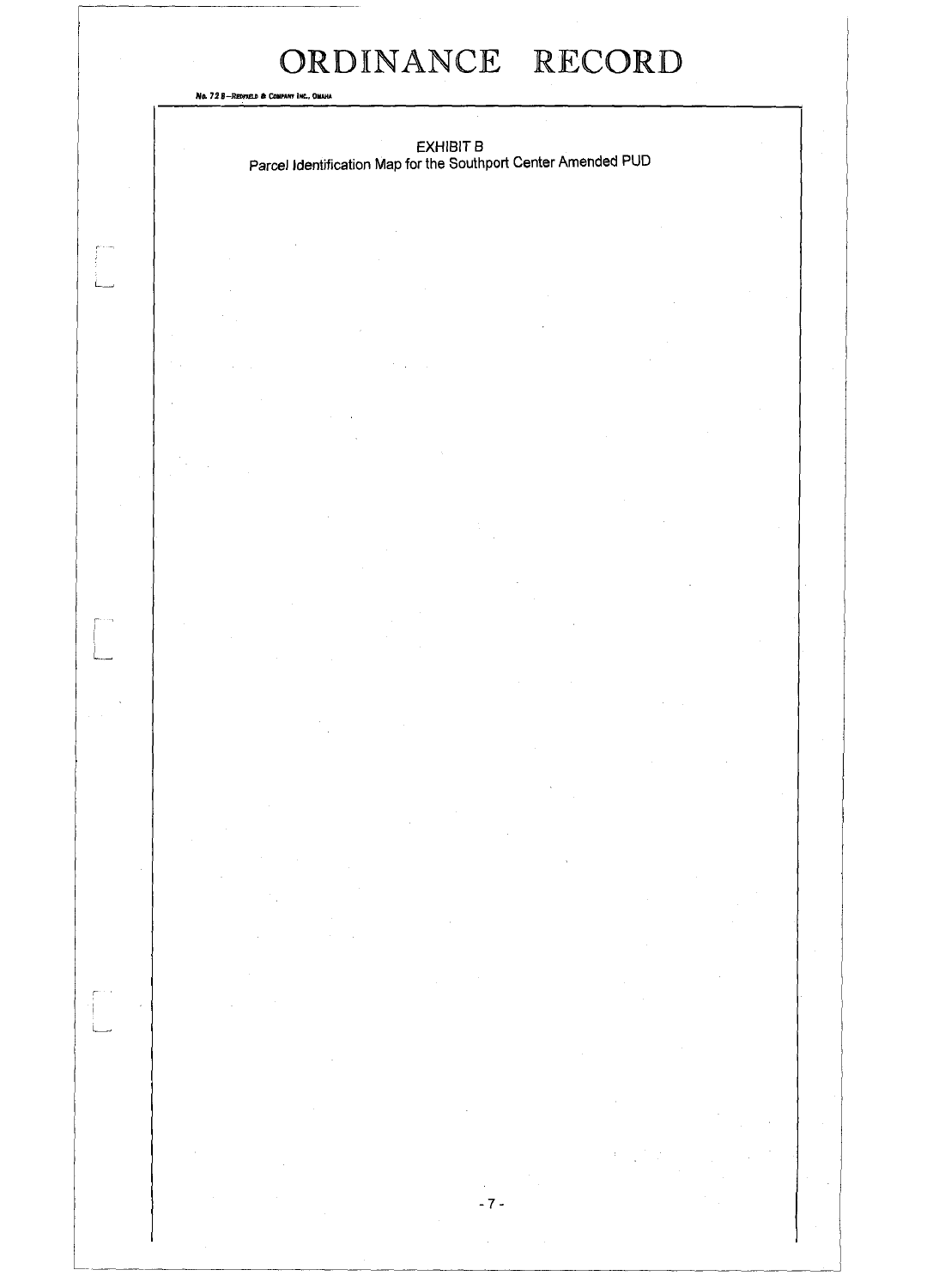-7-

No. 72 8-REDFIELD & COMPANY INC., OMAHA

 $\begin{bmatrix} 1 & 1 \\ 1 & 1 \\ 1 & 1 \end{bmatrix}$ 

 $\begin{bmatrix} 1 & 0 & 0 \\ 0 & 0 & 0 \\ 0 & 0 & 0 \\ 0 & 0 & 0 \\ 0 & 0 & 0 \\ 0 & 0 & 0 \\ 0 & 0 & 0 \\ 0 & 0 & 0 \\ 0 & 0 & 0 \\ 0 & 0 & 0 \\ 0 & 0 & 0 \\ 0 & 0 & 0 \\ 0 & 0 & 0 \\ 0 & 0 & 0 & 0 \\ 0 & 0 & 0 & 0 \\ 0 & 0 & 0 & 0 \\ 0 & 0 & 0 & 0 & 0 \\ 0 & 0 & 0 & 0 & 0 \\ 0 & 0 & 0 & 0 & 0 \\ 0 & 0 & 0 & 0 & 0 \\$